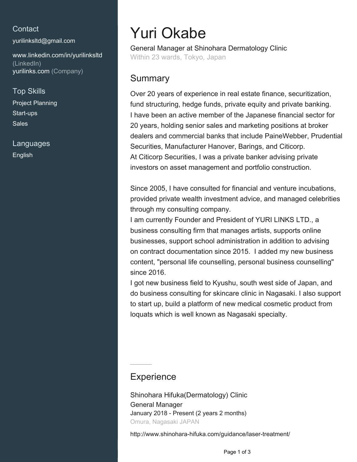#### **Contact**

[yurilinksltd@gmail.com](mailto:yurilinksltd@gmail.com)

[www.linkedin.com/in/yurilinksltd](https://www.linkedin.com/in/yurilinksltd?jobid=1234&lipi=urn%3Ali%3Apage%3Ad_jobs_easyapply_pdfgenresume%3BXK44ff%2FzTqmRWE%2BZMiudDg%3D%3D&licu=urn%3Ali%3Acontrol%3Ad_jobs_easyapply_pdfgenresume-v02_profile) [\(LinkedIn\)](https://www.linkedin.com/in/yurilinksltd?jobid=1234&lipi=urn%3Ali%3Apage%3Ad_jobs_easyapply_pdfgenresume%3BXK44ff%2FzTqmRWE%2BZMiudDg%3D%3D&licu=urn%3Ali%3Acontrol%3Ad_jobs_easyapply_pdfgenresume-v02_profile) [yurilinks.com \(Company\)](www.yurilinks.com)

Top Skills

Project Planning Start-ups Sales

Languages English

# Yuri Okabe

General Manager at Shinohara Dermatology Clinic Within 23 wards, Tokyo, Japan

#### Summary

Over 20 years of experience in real estate finance, securitization, fund structuring, hedge funds, private equity and private banking. I have been an active member of the Japanese financial sector for 20 years, holding senior sales and marketing positions at broker dealers and commercial banks that include PaineWebber, Prudential Securities, Manufacturer Hanover, Barings, and Citicorp. At Citicorp Securities, I was a private banker advising private investors on asset management and portfolio construction.

Since 2005, I have consulted for financial and venture incubations, provided private wealth investment advice, and managed celebrities through my consulting company.

I am currently Founder and President of YURI LINKS LTD., a business consulting firm that manages artists, supports online businesses, support school administration in addition to advising on contract documentation since 2015. I added my new business content, "personal life counselling, personal business counselling" since 2016.

I got new business field to Kyushu, south west side of Japan, and do business consulting for skincare clinic in Nagasaki. I also support to start up, build a platform of new medical cosmetic product from loquats which is well known as Nagasaki specialty.

### **Experience**

Shinohara Hifuka(Dermatology) Clinic General Manager January 2018 - Present (2 years 2 months) Omura, Nagasaki JAPAN

http://www.shinohara-hifuka.com/guidance/laser-treatment/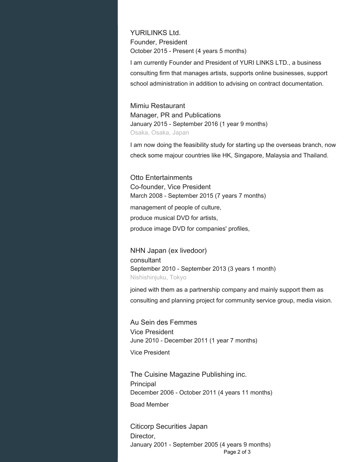YURILINKS Ltd. Founder, President October 2015 - Present (4 years 5 months)

I am currently Founder and President of YURI LINKS LTD., a business consulting firm that manages artists, supports online businesses, support school administration in addition to advising on contract documentation.

Mimiu Restaurant Manager, PR and Publications January 2015 - September 2016 (1 year 9 months) Osaka, Osaka, Japan

I am now doing the feasibility study for starting up the overseas branch, now check some majour countries like HK, Singapore, Malaysia and Thailand.

Otto Entertainments Co-founder, Vice President March 2008 - September 2015 (7 years 7 months) management of people of culture, produce musical DVD for artists, produce image DVD for companies' profiles,

NHN Japan (ex livedoor) consultant September 2010 - September 2013 (3 years 1 month) Nishishinjuku, Tokyo

joined with them as a partnership company and mainly support them as consulting and planning project for community service group, media vision.

Au Sein des Femmes Vice President June 2010 - December 2011 (1 year 7 months)

Vice President

The Cuisine Magazine Publishing inc. **Principal** December 2006 - October 2011 (4 years 11 months) Boad Member

Citicorp Securities Japan Director, January 2001 - September 2005 (4 years 9 months) Page 2 of 3